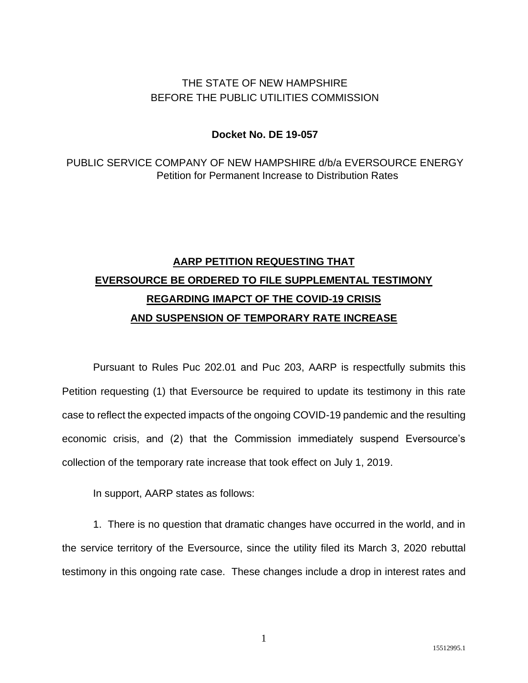## THE STATE OF NEW HAMPSHIRE BEFORE THE PUBLIC UTILITIES COMMISSION

### **Docket No. DE 19-057**

PUBLIC SERVICE COMPANY OF NEW HAMPSHIRE d/b/a EVERSOURCE ENERGY Petition for Permanent Increase to Distribution Rates

# **AARP PETITION REQUESTING THAT EVERSOURCE BE ORDERED TO FILE SUPPLEMENTAL TESTIMONY REGARDING IMAPCT OF THE COVID-19 CRISIS AND SUSPENSION OF TEMPORARY RATE INCREASE**

Pursuant to Rules Puc 202.01 and Puc 203, AARP is respectfully submits this Petition requesting (1) that Eversource be required to update its testimony in this rate case to reflect the expected impacts of the ongoing COVID-19 pandemic and the resulting economic crisis, and (2) that the Commission immediately suspend Eversource's collection of the temporary rate increase that took effect on July 1, 2019.

In support, AARP states as follows:

1. There is no question that dramatic changes have occurred in the world, and in the service territory of the Eversource, since the utility filed its March 3, 2020 rebuttal testimony in this ongoing rate case. These changes include a drop in interest rates and

1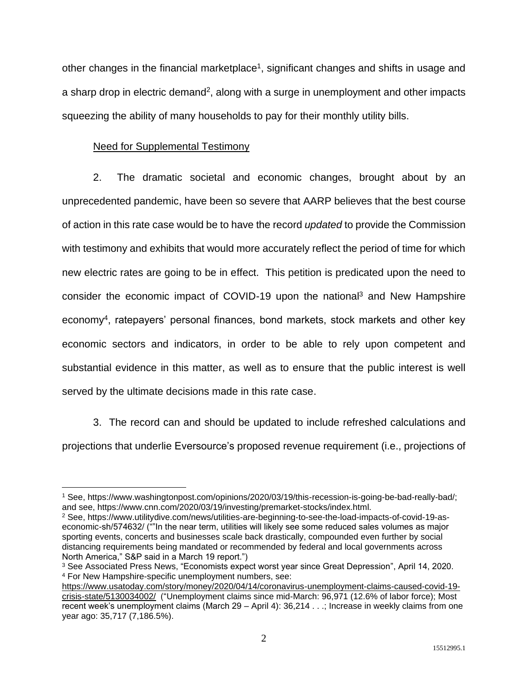other changes in the financial marketplace<sup>1</sup>, significant changes and shifts in usage and a sharp drop in electric demand<sup>2</sup>, along with a surge in unemployment and other impacts squeezing the ability of many households to pay for their monthly utility bills.

#### Need for Supplemental Testimony

2. The dramatic societal and economic changes, brought about by an unprecedented pandemic, have been so severe that AARP believes that the best course of action in this rate case would be to have the record *updated* to provide the Commission with testimony and exhibits that would more accurately reflect the period of time for which new electric rates are going to be in effect. This petition is predicated upon the need to consider the economic impact of COVID-19 upon the national<sup>3</sup> and New Hampshire economy<sup>4</sup>, ratepayers' personal finances, bond markets, stock markets and other key economic sectors and indicators, in order to be able to rely upon competent and substantial evidence in this matter, as well as to ensure that the public interest is well served by the ultimate decisions made in this rate case.

3. The record can and should be updated to include refreshed calculations and projections that underlie Eversource's proposed revenue requirement (i.e., projections of

<sup>1</sup> See, https://www.washingtonpost.com/opinions/2020/03/19/this-recession-is-going-be-bad-really-bad/; and see, https://www.cnn.com/2020/03/19/investing/premarket-stocks/index.html.

<sup>2</sup> See, https://www.utilitydive.com/news/utilities-are-beginning-to-see-the-load-impacts-of-covid-19-aseconomic-sh/574632/ (""In the near term, utilities will likely see some reduced sales volumes as major sporting events, concerts and businesses scale back drastically, compounded even further by social distancing requirements being mandated or recommended by federal and local governments across North America," S&P said in a March 19 report.")

<sup>3</sup> See Associated Press News, "Economists expect worst year since Great Depression", April 14, 2020. <sup>4</sup> For New Hampshire-specific unemployment numbers, see:

[https://www.usatoday.com/story/money/2020/04/14/coronavirus-unemployment-claims-caused-covid-19](https://www.usatoday.com/story/money/2020/04/14/coronavirus-unemployment-claims-caused-covid-19-crisis-state/5130034002/) [crisis-state/5130034002/](https://www.usatoday.com/story/money/2020/04/14/coronavirus-unemployment-claims-caused-covid-19-crisis-state/5130034002/) ("Unemployment claims since mid-March: 96,971 (12.6% of labor force); Most recent week's unemployment claims (March 29 – April 4): 36,214 . . .; Increase in weekly claims from one year ago: 35,717 (7,186.5%).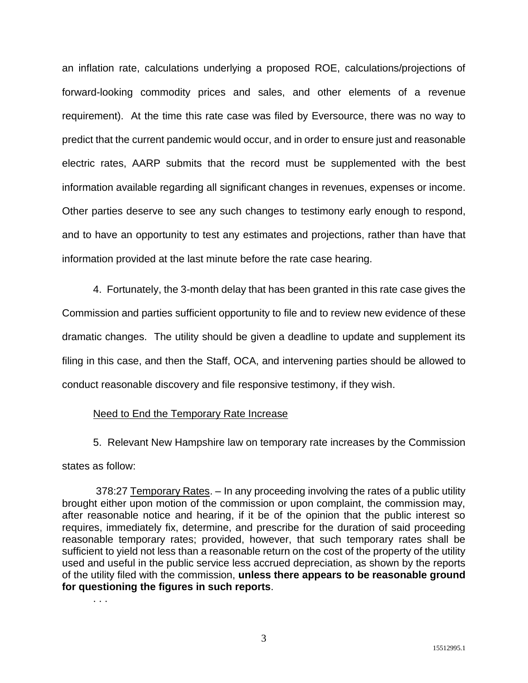an inflation rate, calculations underlying a proposed ROE, calculations/projections of forward-looking commodity prices and sales, and other elements of a revenue requirement). At the time this rate case was filed by Eversource, there was no way to predict that the current pandemic would occur, and in order to ensure just and reasonable electric rates, AARP submits that the record must be supplemented with the best information available regarding all significant changes in revenues, expenses or income. Other parties deserve to see any such changes to testimony early enough to respond, and to have an opportunity to test any estimates and projections, rather than have that information provided at the last minute before the rate case hearing.

4. Fortunately, the 3-month delay that has been granted in this rate case gives the Commission and parties sufficient opportunity to file and to review new evidence of these dramatic changes. The utility should be given a deadline to update and supplement its filing in this case, and then the Staff, OCA, and intervening parties should be allowed to conduct reasonable discovery and file responsive testimony, if they wish.

#### Need to End the Temporary Rate Increase

5. Relevant New Hampshire law on temporary rate increases by the Commission states as follow:

378:27 Temporary Rates. - In any proceeding involving the rates of a public utility brought either upon motion of the commission or upon complaint, the commission may, after reasonable notice and hearing, if it be of the opinion that the public interest so requires, immediately fix, determine, and prescribe for the duration of said proceeding reasonable temporary rates; provided, however, that such temporary rates shall be sufficient to yield not less than a reasonable return on the cost of the property of the utility used and useful in the public service less accrued depreciation, as shown by the reports of the utility filed with the commission, **unless there appears to be reasonable ground for questioning the figures in such reports**.

. . .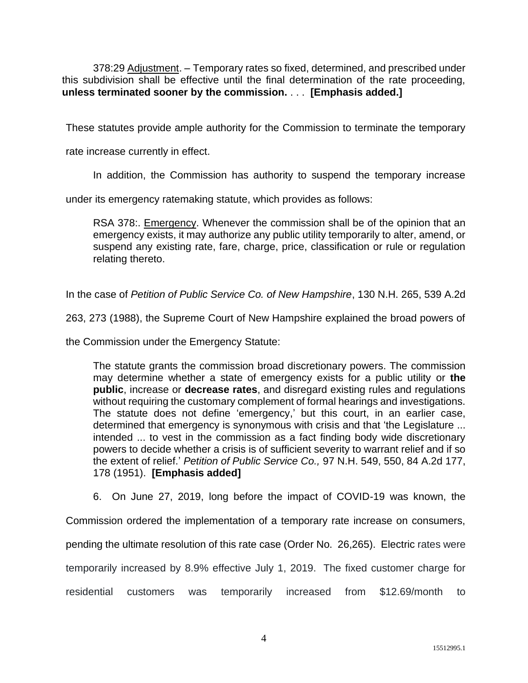378:29 Adjustment. – Temporary rates so fixed, determined, and prescribed under this subdivision shall be effective until the final determination of the rate proceeding, **unless terminated sooner by the commission.** . . . **[Emphasis added.]**

These statutes provide ample authority for the Commission to terminate the temporary

rate increase currently in effect.

In addition, the Commission has authority to suspend the temporary increase

under its emergency ratemaking statute, which provides as follows:

RSA 378:. Emergency. Whenever the commission shall be of the opinion that an emergency exists, it may authorize any public utility temporarily to alter, amend, or suspend any existing rate, fare, charge, price, classification or rule or regulation relating thereto.

In the case of *Petition of Public Service Co. of New Hampshire*, 130 N.H. 265, 539 A.2d

263, 273 (1988), the Supreme Court of New Hampshire explained the broad powers of

the Commission under the Emergency Statute:

The statute grants the commission broad discretionary powers. The commission may determine whether a state of emergency exists for a public utility or **the public**, increase or **decrease rates**, and disregard existing rules and regulations without requiring the customary complement of formal hearings and investigations. The statute does not define 'emergency,' but this court, in an earlier case, determined that emergency is synonymous with crisis and that 'the Legislature ... intended ... to vest in the commission as a fact finding body wide discretionary powers to decide whether a crisis is of sufficient severity to warrant relief and if so the extent of relief.' *Petition of Public Service Co.,* 97 N.H. 549, 550, 84 A.2d 177, 178 (1951). **[Emphasis added]**

6. On June 27, 2019, long before the impact of COVID-19 was known, the

Commission ordered the implementation of a temporary rate increase on consumers,

pending the ultimate resolution of this rate case (Order No. 26,265). Electric rates were

temporarily increased by 8.9% effective July 1, 2019. The fixed customer charge for

residential customers was temporarily increased from \$12.69/month to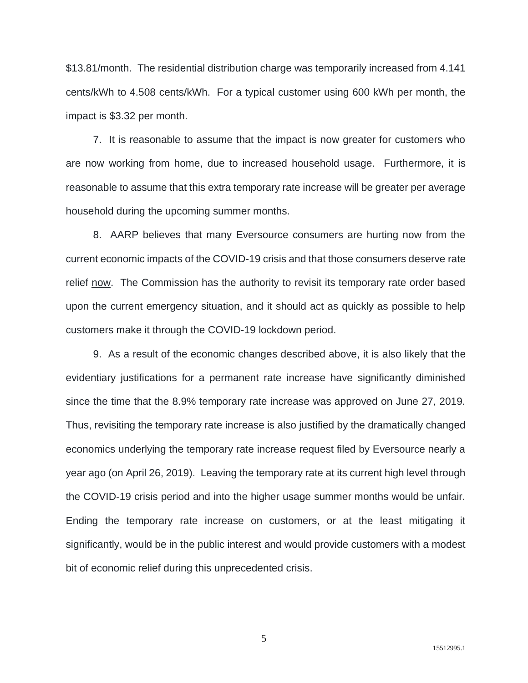\$13.81/month. The residential distribution charge was temporarily increased from 4.141 cents/kWh to 4.508 cents/kWh. For a typical customer using 600 kWh per month, the impact is \$3.32 per month.

7. It is reasonable to assume that the impact is now greater for customers who are now working from home, due to increased household usage. Furthermore, it is reasonable to assume that this extra temporary rate increase will be greater per average household during the upcoming summer months.

8. AARP believes that many Eversource consumers are hurting now from the current economic impacts of the COVID-19 crisis and that those consumers deserve rate relief now. The Commission has the authority to revisit its temporary rate order based upon the current emergency situation, and it should act as quickly as possible to help customers make it through the COVID-19 lockdown period.

9. As a result of the economic changes described above, it is also likely that the evidentiary justifications for a permanent rate increase have significantly diminished since the time that the 8.9% temporary rate increase was approved on June 27, 2019. Thus, revisiting the temporary rate increase is also justified by the dramatically changed economics underlying the temporary rate increase request filed by Eversource nearly a year ago (on April 26, 2019). Leaving the temporary rate at its current high level through the COVID-19 crisis period and into the higher usage summer months would be unfair. Ending the temporary rate increase on customers, or at the least mitigating it significantly, would be in the public interest and would provide customers with a modest bit of economic relief during this unprecedented crisis.

5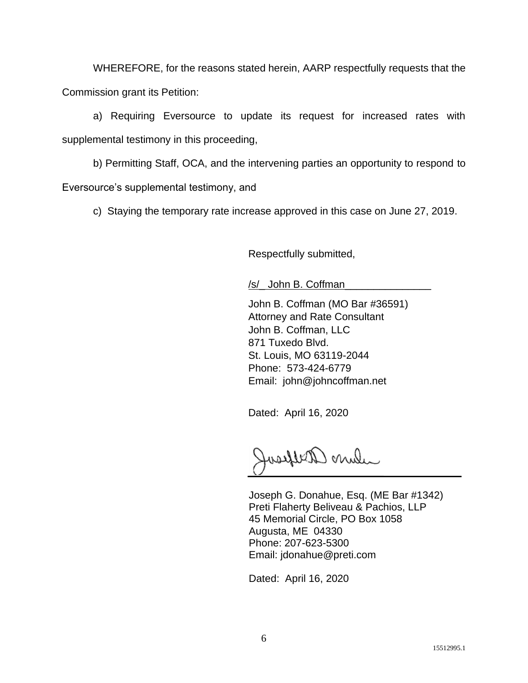WHEREFORE, for the reasons stated herein, AARP respectfully requests that the Commission grant its Petition:

a) Requiring Eversource to update its request for increased rates with supplemental testimony in this proceeding,

b) Permitting Staff, OCA, and the intervening parties an opportunity to respond to Eversource's supplemental testimony, and

c) Staying the temporary rate increase approved in this case on June 27, 2019.

Respectfully submitted,

/s/\_ John B. Coffman\_

John B. Coffman (MO Bar #36591) Attorney and Rate Consultant John B. Coffman, LLC 871 Tuxedo Blvd. St. Louis, MO 63119-2044 Phone: 573-424-6779 Email: john@johncoffman.net

Dated: April 16, 2020

when aryland

Joseph G. Donahue, Esq. (ME Bar #1342) Preti Flaherty Beliveau & Pachios, LLP 45 Memorial Circle, PO Box 1058 Augusta, ME 04330 Phone: 207-623-5300 Email: jdonahue@preti.com

Dated: April 16, 2020